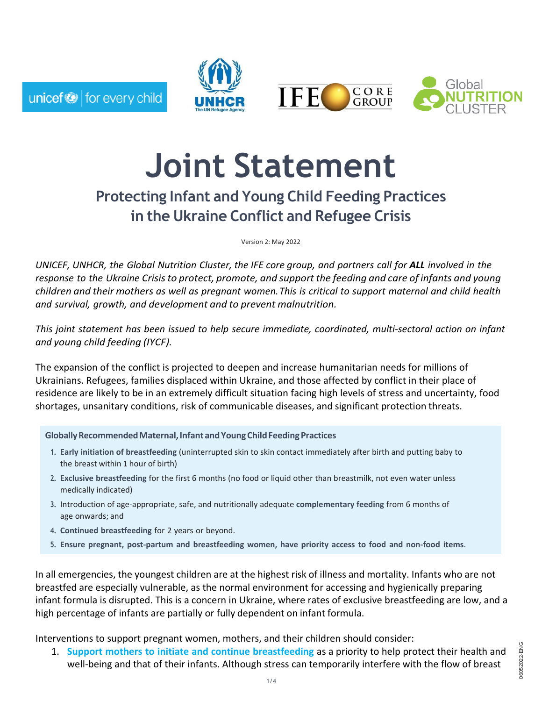





# **Joint Statement**

## **Protecting Infant and Young Child Feeding Practices in the Ukraine Conflict and Refugee Crisis**

Version 2: May 2022

*UNICEF, UNHCR, the Global Nutrition Cluster, the IFE core group, and partners call for ALL involved in the response to the Ukraine Crisisto protect, promote, and support the feeding and care of infants and young* children and their mothers as well as pregnant women. This is critical to support maternal and child health *and survival, growth, and development and to prevent malnutrition.*

*This joint statement has been issued to help secure immediate, coordinated, multi-sectoral action on infant and young child feeding (IYCF).*

The expansion of the conflict is projected to deepen and increase humanitarian needs for millions of Ukrainians. Refugees, families displaced within Ukraine, and those affected by conflict in their place of residence are likely to be in an extremely difficult situation facing high levels of stress and uncertainty, food shortages, unsanitary conditions, risk of communicable diseases, and significant protection threats.

**GloballyRecommendedMaternal,InfantandYoungChildFeedingPractices**

- **1. Early initiation of breastfeeding** (uninterrupted skin to skin contact immediately after birth and putting baby to the breast within 1 hour of birth)
- **2. Exclusive breastfeeding** for the first 6 months (no food or liquid other than breastmilk, not even water unless medically indicated)
- **3.** Introduction of age-appropriate, safe, and nutritionally adequate **complementary feeding** from 6 months of age onwards; and
- **4. Continued breastfeeding** for 2 years or beyond.
- **5. Ensure pregnant, post-partum and breastfeeding women, have priority access to food and non-food items**.

In all emergencies, the youngest children are at the highest risk of illness and mortality. Infants who are not breastfed are especially vulnerable, as the normal environment for accessing and hygienically preparing infant formula is disrupted. This is a concern in Ukraine, where rates of exclusive breastfeeding are low, and a high percentage of infants are partially or fully dependent on infant formula.

Interventions to support pregnant women, mothers, and their children should consider:

1. **Support mothers to initiate and continue breastfeeding** as a priority to help protect their health and well-being and that of their infants. Although stress can temporarily interfere with the flow of breast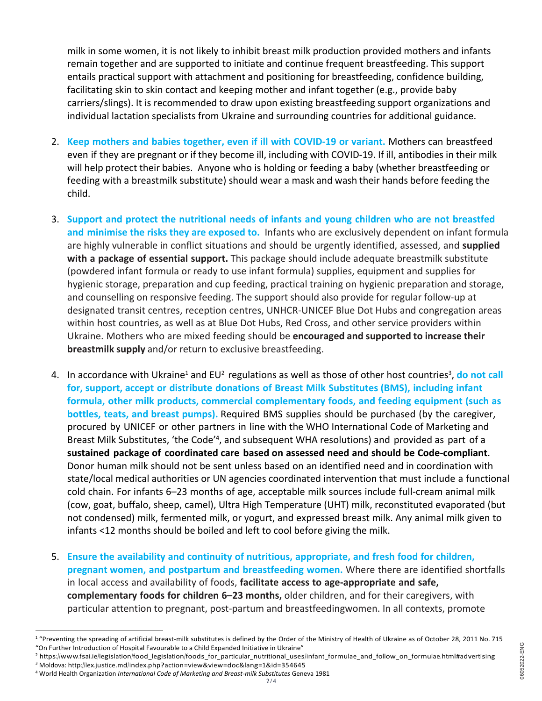milk in some women, it is not likely to inhibit breast milk production provided mothers and infants remain together and are supported to initiate and continue frequent breastfeeding. This support entails practical support with attachment and positioning for breastfeeding, confidence building, facilitating skin to skin contact and keeping mother and infant together (e.g., provide baby carriers/slings). It is recommended to draw upon existing breastfeeding support organizations and individual lactation specialists from Ukraine and surrounding countries for additional guidance.

- 2. **Keep mothers and babies together, even if ill with COVID-19 or variant.** Mothers can breastfeed even if they are pregnant or if they become ill, including with COVID-19. If ill, antibodies in their milk will help protect their babies. Anyone who is holding or feeding a baby (whether breastfeeding or feeding with a breastmilk substitute) should wear a mask and wash their hands before feeding the child.
- 3. **Support and protect the nutritional needs of infants and young children who are not breastfed and minimise the risks they are exposed to.** Infants who are exclusively dependent on infant formula are highly vulnerable in conflict situations and should be urgently identified, assessed, and **supplied with a package of essential support.** This package should include adequate breastmilk substitute (powdered infant formula or ready to use infant formula) supplies, equipment and supplies for hygienic storage, preparation and cup feeding, practical training on hygienic preparation and storage, and counselling on responsive feeding. The support should also provide for regular follow-up at designated transit centres, reception centres, UNHCR-UNICEF Blue Dot Hubs and congregation areas within host countries, as well as at Blue Dot Hubs, Red Cross, and other service providers within Ukraine. Mothers who are mixed feeding should be **encouraged and supported to increase their breastmilk supply** and/or return to exclusive breastfeeding.
- 4. In accordance with Ukraine<sup>1</sup> and EU<sup>2</sup> regulations as well as those of other host countries<sup>3</sup>, do not call **for, support, accept or distribute donations of Breast Milk Substitutes (BMS), including infant formula, other milk products, commercial complementary foods, and feeding equipment (such as bottles, teats, and breast pumps).** Required BMS supplies should be purchased (by the caregiver, procured by UNICEF or other partners in line with the WHO International Code of Marketing and Breast Milk Substitutes, 'the Code'<sup>4</sup>, and subsequent WHA resolutions) and provided as part of a **sustained package of coordinated care based on assessed need and should be Code-compliant**. Donor human milk should not be sent unless based on an identified need and in coordination with state/local medical authorities or UN agencies coordinated intervention that must include a functional cold chain. For infants 6–23 months of age, acceptable milk sources include full-cream animal milk (cow, goat, buffalo, sheep, camel), Ultra High Temperature (UHT) milk, reconstituted evaporated (but not condensed) milk, fermented milk, or yogurt, and expressed breast milk. Any animal milk given to infants <12 months should be boiled and left to cool before giving the milk.
- 5. **Ensure the availability and continuity of nutritious, appropriate, and fresh food for children, pregnant women, and postpartum and breastfeeding women.** Where there are identified shortfalls in local access and availability of foods, **facilitate access to age-appropriate and safe, complementary foods for children 6–23 months,** older children, and for their caregivers, with particular attention to pregnant, post-partum and breastfeedingwomen. In all contexts, promote

<sup>&</sup>lt;sup>1</sup> "Preventing the spreading of artificial breast-milk substitutes is defined by the Order of the Ministry of Health of Ukraine as of October 28, 2011 No. 715 "On Further Introduction of Hospital Favourable to a Child Expanded Initiative in Ukraine"

<sup>&</sup>lt;sup>2</sup> https:[//www.fsai.ie/legislation/food\\_legislation/foods\\_for\\_particular\\_nutritional\\_uses/infant\\_formulae\\_and\\_follow\\_on\\_formulae.html#advertising](http://www.fsai.ie/legislation/food_legislation/foods_for_particular_nutritional_uses/infant_formulae_and_follow_on_formulae.html#advertising) <sup>3</sup> Moldova: <http://lex.justice.md/index.php?action=view&view=doc&lang=1&id=354645>

<sup>4</sup> World Health Organization *International Code of Marketing and Breast-milk Substitutes* Geneva 1981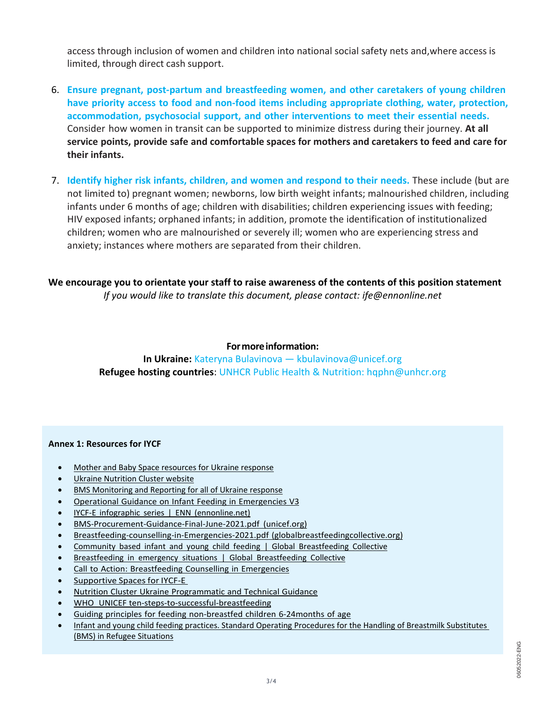access through inclusion of women and children into national social safety nets and,where access is limited, through direct cash support.

- 6. **Ensure pregnant, post-partum and breastfeeding women, and other caretakers of young children have priority access to food and non-food items including appropriate clothing, water, protection, accommodation, psychosocial support, and other interventions to meet their essential needs.** Consider how women in transit can be supported to minimize distress during their journey. **At all service points, provide safe and comfortable spaces for mothers and caretakers to feed and care for their infants.**
- 7. **Identify higher risk infants, children, and women and respond to their needs.** These include (but are not limited to) pregnant women; newborns, low birth weight infants; malnourished children, including infants under 6 months of age; children with disabilities; children experiencing issues with feeding; HIV exposed infants; orphaned infants; in addition, promote the identification of institutionalized children; women who are malnourished or severely ill; women who are experiencing stress and anxiety; instances where mothers are separated from their children.

**We encourage you to orientate your staff to raise awareness of the contents of this position statement** *If you would like to translate this document, please contact: ife@ennonline.net*

#### **Formoreinformation:**

**In Ukraine:** Kateryna Bulavinova — [kbulavinova@unicef.org](mailto:kbulavinova@unicef.org) **Refugee hosting countries**: UNHCR Public Health & Nutrition: hqphn@unhcr.org

#### **Annex 1: Resources for IYCF**

- [Mother and Baby Space resources for Ukraine response](https://www.nutritioncluster.net/resources/mbs-resource)
- [Ukraine Nutrition Cluster website](https://www.humanitarianresponse.info/en/operations/ukraine/nutrition)
- [BMS Monitoring and Reporting for all of Ukraine response](https://ee.humanitarianresponse.info/x/Gd4tmUg7)
- Operational Guidance on Infant Feeding in [Emergencies](https://www.ennonline.net/operationalguidance-v3-2017) V3
- IYCF-E infographic series | ENN [\(ennonline.net\)](https://www.ennonline.net/ifecoregroupinfographicseries)
- [BMS-Procurement-Guidance-Final-June-2021.pdf](https://www.unicef.org/media/100911/file/BMS-Procurement-Guidance-Final-June-2021.pdf) (unicef.org)
- [Breastfeeding-counselling-in-Emergencies-2021.pdf](https://www.globalbreastfeedingcollective.org/media/1536/file/Breastfeeding-counselling-in-Emergencies-2021.pdf) (globalbreastfeedingcollective.org)
- Community based infant and young child feeding | Global [Breastfeeding](https://www.globalbreastfeedingcollective.org/community-based-infant-and-young-child-feeding) Collective
- [Breastfeeding](https://www.globalbreastfeedingcollective.org/reports/breastfeeding-emergency-situations) in emergency situations | Global Breastfeeding Collective
- Call to Action: [Breastfeeding](https://www.ennonline.net/attachments/4089/Breastfeeding-Counselling-in-Emergencies-Brief.pdf) Counselling in Emergencies
- [Supportive](https://www.ennonline.net/supportivespacesiycfetechbrief2020) Spaces for IYCF-E
- Nutrition Cluster Ukraine [Programmatic](https://www.nutritioncluster.net/nutrition-programmatic-and-technical-guidance) and Technical Guidance
- WHO UNICEF [ten-steps-to-successful-breastfeeding](https://www.who.int/teams/nutrition-and-food-safety/food-and-nutrition-actions-in-health-systems/ten-steps-to-successful-breastfeeding)
- Guiding principles for feeding [non-breastfed](https://apo.who.int/publications/i/item/9241593431) children 6-24months of age
- [Infant and young child feeding practices. Standard Operating Procedures for the Handling of Breastmilk Substitutes](https://www.unhcr.org/publications/operations/55c474859/infant-young-child-feeding-practices-standard-operating-procedures-handling.html)  [\(BMS\) in Refugee Situations](https://www.unhcr.org/publications/operations/55c474859/infant-young-child-feeding-practices-standard-operating-procedures-handling.html)